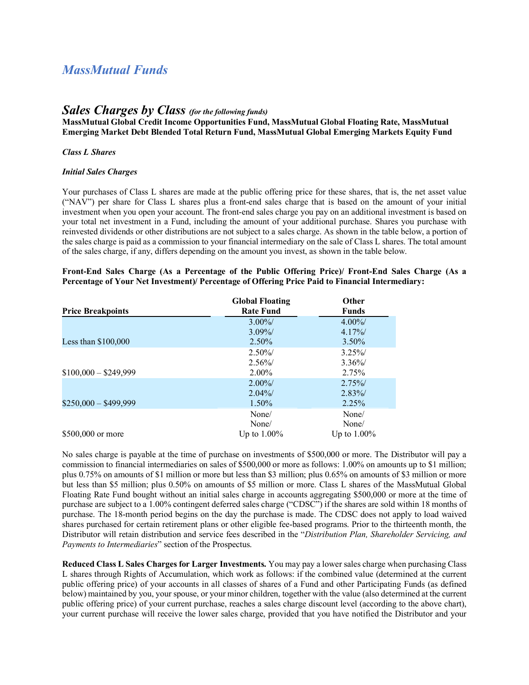# *MassMutual Funds*

# *Sales Charges by Class (for the following funds)*

**MassMutual Global Credit Income Opportunities Fund, MassMutual Global Floating Rate, MassMutual Emerging Market Debt Blended Total Return Fund, MassMutual Global Emerging Markets Equity Fund**

### *Class L Shares*

#### *Initial Sales Charges*

Your purchases of Class L shares are made at the public offering price for these shares, that is, the net asset value ("NAV") per share for Class L shares plus a front-end sales charge that is based on the amount of your initial investment when you open your account. The front-end sales charge you pay on an additional investment is based on your total net investment in a Fund, including the amount of your additional purchase. Shares you purchase with reinvested dividends or other distributions are not subject to a sales charge. As shown in the table below, a portion of the sales charge is paid as a commission to your financial intermediary on the sale of Class L shares. The total amount of the sales charge, if any, differs depending on the amount you invest, as shown in the table below.

|                                                                                                  |  |  |  | Front-End Sales Charge (As a Percentage of the Public Offering Price)/ Front-End Sales Charge (As a |  |  |  |  |  |  |  |  |  |
|--------------------------------------------------------------------------------------------------|--|--|--|-----------------------------------------------------------------------------------------------------|--|--|--|--|--|--|--|--|--|
| Percentage of Your Net Investment)/ Percentage of Offering Price Paid to Financial Intermediary: |  |  |  |                                                                                                     |  |  |  |  |  |  |  |  |  |

|                          | <b>Global Floating</b> | <b>Other</b>   |
|--------------------------|------------------------|----------------|
| <b>Price Breakpoints</b> | <b>Rate Fund</b>       | <b>Funds</b>   |
|                          | $3.00\%$               | $4.00\%$       |
|                          | $3.09\%$               | $4.17\%$       |
| Less than $$100,000$     | 2.50%                  | $3.50\%$       |
|                          | $2.50\%$               | $3.25\%$       |
|                          | $2.56\%$               | $3.36\%$       |
| $$100,000 - $249,999$    | 2.00%                  | 2.75%          |
|                          | $2.00\%$               | $2.75\%$       |
|                          | $2.04\%$               | $2.83\%$       |
| $$250,000 - $499,999$    | 1.50%                  | 2.25%          |
|                          | None/                  | None/          |
|                          | None/                  | None/          |
| \$500,000 or more        | Up to $1.00\%$         | Up to $1.00\%$ |

No sales charge is payable at the time of purchase on investments of \$500,000 or more. The Distributor will pay a commission to financial intermediaries on sales of \$500,000 or more as follows: 1.00% on amounts up to \$1 million; plus 0.75% on amounts of \$1 million or more but less than \$3 million; plus 0.65% on amounts of \$3 million or more but less than \$5 million; plus 0.50% on amounts of \$5 million or more. Class L shares of the MassMutual Global Floating Rate Fund bought without an initial sales charge in accounts aggregating \$500,000 or more at the time of purchase are subject to a 1.00% contingent deferred sales charge ("CDSC") if the shares are sold within 18 months of purchase. The 18-month period begins on the day the purchase is made. The CDSC does not apply to load waived shares purchased for certain retirement plans or other eligible fee-based programs. Prior to the thirteenth month, the Distributor will retain distribution and service fees described in the "*Distribution Plan, Shareholder Servicing, and Payments to Intermediaries*" section of the Prospectus.

**Reduced Class L Sales Charges for Larger Investments.** You may pay a lower sales charge when purchasing Class L shares through Rights of Accumulation, which work as follows: if the combined value (determined at the current public offering price) of your accounts in all classes of shares of a Fund and other Participating Funds (as defined below) maintained by you, your spouse, or your minor children, together with the value (also determined at the current public offering price) of your current purchase, reaches a sales charge discount level (according to the above chart), your current purchase will receive the lower sales charge, provided that you have notified the Distributor and your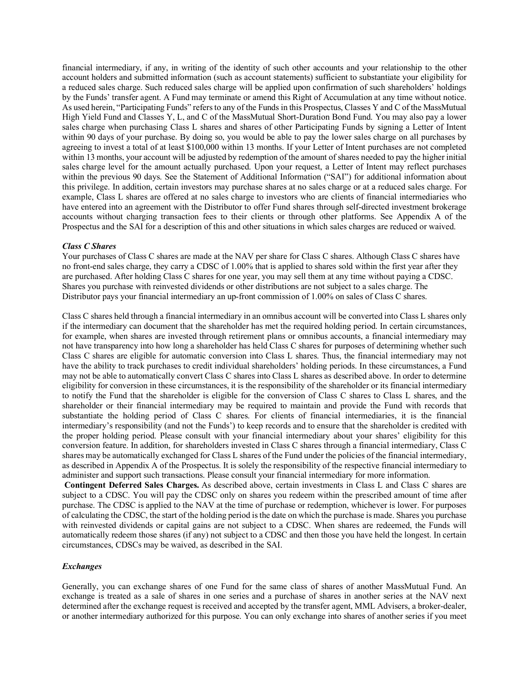financial intermediary, if any, in writing of the identity of such other accounts and your relationship to the other account holders and submitted information (such as account statements) sufficient to substantiate your eligibility for a reduced sales charge. Such reduced sales charge will be applied upon confirmation of such shareholders' holdings by the Funds' transfer agent. A Fund may terminate or amend this Right of Accumulation at any time without notice. As used herein, "Participating Funds" refers to any of the Funds in this Prospectus, Classes Y and C of the MassMutual High Yield Fund and Classes Y, L, and C of the MassMutual Short-Duration Bond Fund. You may also pay a lower sales charge when purchasing Class L shares and shares of other Participating Funds by signing a Letter of Intent within 90 days of your purchase. By doing so, you would be able to pay the lower sales charge on all purchases by agreeing to invest a total of at least \$100,000 within 13 months. If your Letter of Intent purchases are not completed within 13 months, your account will be adjusted by redemption of the amount of shares needed to pay the higher initial sales charge level for the amount actually purchased. Upon your request, a Letter of Intent may reflect purchases within the previous 90 days. See the Statement of Additional Information ("SAI") for additional information about this privilege. In addition, certain investors may purchase shares at no sales charge or at a reduced sales charge. For example, Class L shares are offered at no sales charge to investors who are clients of financial intermediaries who have entered into an agreement with the Distributor to offer Fund shares through self-directed investment brokerage accounts without charging transaction fees to their clients or through other platforms. See Appendix A of the Prospectus and the SAI for a description of this and other situations in which sales charges are reduced or waived.

#### *Class C Shares*

Your purchases of Class C shares are made at the NAV per share for Class C shares. Although Class C shares have no front-end sales charge, they carry a CDSC of 1.00% that is applied to shares sold within the first year after they are purchased. After holding Class C shares for one year, you may sell them at any time without paying a CDSC. Shares you purchase with reinvested dividends or other distributions are not subject to a sales charge. The Distributor pays your financial intermediary an up-front commission of 1.00% on sales of Class C shares.

Class C shares held through a financial intermediary in an omnibus account will be converted into Class L shares only if the intermediary can document that the shareholder has met the required holding period. In certain circumstances, for example, when shares are invested through retirement plans or omnibus accounts, a financial intermediary may not have transparency into how long a shareholder has held Class C shares for purposes of determining whether such Class C shares are eligible for automatic conversion into Class L shares. Thus, the financial intermediary may not have the ability to track purchases to credit individual shareholders' holding periods. In these circumstances, a Fund may not be able to automatically convert Class C shares into Class L shares as described above. In order to determine eligibility for conversion in these circumstances, it is the responsibility of the shareholder or its financial intermediary to notify the Fund that the shareholder is eligible for the conversion of Class C shares to Class L shares, and the shareholder or their financial intermediary may be required to maintain and provide the Fund with records that substantiate the holding period of Class C shares. For clients of financial intermediaries, it is the financial intermediary's responsibility (and not the Funds') to keep records and to ensure that the shareholder is credited with the proper holding period. Please consult with your financial intermediary about your shares' eligibility for this conversion feature. In addition, for shareholders invested in Class C shares through a financial intermediary, Class C shares may be automatically exchanged for Class L shares of the Fund under the policies of the financial intermediary, as described in Appendix A of the Prospectus. It is solely the responsibility of the respective financial intermediary to administer and support such transactions. Please consult your financial intermediary for more information.

**Contingent Deferred Sales Charges.** As described above, certain investments in Class L and Class C shares are subject to a CDSC. You will pay the CDSC only on shares you redeem within the prescribed amount of time after purchase. The CDSC is applied to the NAV at the time of purchase or redemption, whichever is lower. For purposes of calculating the CDSC, the start of the holding period is the date on which the purchase is made. Shares you purchase with reinvested dividends or capital gains are not subject to a CDSC. When shares are redeemed, the Funds will automatically redeem those shares (if any) not subject to a CDSC and then those you have held the longest. In certain circumstances, CDSCs may be waived, as described in the SAI.

### *Exchanges*

Generally, you can exchange shares of one Fund for the same class of shares of another MassMutual Fund. An exchange is treated as a sale of shares in one series and a purchase of shares in another series at the NAV next determined after the exchange request is received and accepted by the transfer agent, MML Advisers, a broker-dealer, or another intermediary authorized for this purpose. You can only exchange into shares of another series if you meet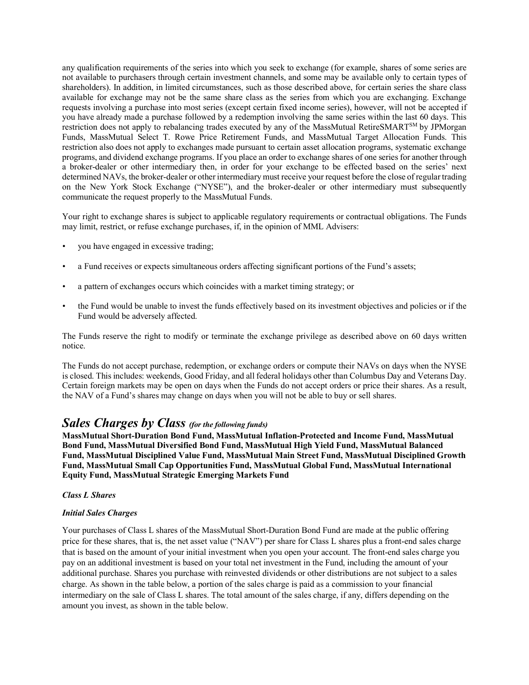any qualification requirements of the series into which you seek to exchange (for example, shares of some series are not available to purchasers through certain investment channels, and some may be available only to certain types of shareholders). In addition, in limited circumstances, such as those described above, for certain series the share class available for exchange may not be the same share class as the series from which you are exchanging. Exchange requests involving a purchase into most series (except certain fixed income series), however, will not be accepted if you have already made a purchase followed by a redemption involving the same series within the last 60 days. This restriction does not apply to rebalancing trades executed by any of the MassMutual RetireSMART<sup>SM</sup> by JPMorgan Funds, MassMutual Select T. Rowe Price Retirement Funds, and MassMutual Target Allocation Funds. This restriction also does not apply to exchanges made pursuant to certain asset allocation programs, systematic exchange programs, and dividend exchange programs. If you place an order to exchange shares of one series for another through a broker-dealer or other intermediary then, in order for your exchange to be effected based on the series' next determined NAVs, the broker-dealer or other intermediary must receive your request before the close of regular trading on the New York Stock Exchange ("NYSE"), and the broker-dealer or other intermediary must subsequently communicate the request properly to the MassMutual Funds.

Your right to exchange shares is subject to applicable regulatory requirements or contractual obligations. The Funds may limit, restrict, or refuse exchange purchases, if, in the opinion of MML Advisers:

- you have engaged in excessive trading;
- a Fund receives or expects simultaneous orders affecting significant portions of the Fund's assets;
- a pattern of exchanges occurs which coincides with a market timing strategy; or
- the Fund would be unable to invest the funds effectively based on its investment objectives and policies or if the Fund would be adversely affected.

The Funds reserve the right to modify or terminate the exchange privilege as described above on 60 days written notice.

The Funds do not accept purchase, redemption, or exchange orders or compute their NAVs on days when the NYSE is closed. This includes: weekends, Good Friday, and all federal holidays other than Columbus Day and Veterans Day. Certain foreign markets may be open on days when the Funds do not accept orders or price their shares. As a result, the NAV of a Fund's shares may change on days when you will not be able to buy or sell shares.

# *Sales Charges by Class (for the following funds)*

**MassMutual Short-Duration Bond Fund, MassMutual Inflation-Protected and Income Fund, MassMutual Bond Fund, MassMutual Diversified Bond Fund, MassMutual High Yield Fund, MassMutual Balanced Fund, MassMutual Disciplined Value Fund, MassMutual Main Street Fund, MassMutual Disciplined Growth Fund, MassMutual Small Cap Opportunities Fund, MassMutual Global Fund, MassMutual International Equity Fund, MassMutual Strategic Emerging Markets Fund**

#### *Class L Shares*

#### *Initial Sales Charges*

Your purchases of Class L shares of the MassMutual Short-Duration Bond Fund are made at the public offering price for these shares, that is, the net asset value ("NAV") per share for Class L shares plus a front-end sales charge that is based on the amount of your initial investment when you open your account. The front-end sales charge you pay on an additional investment is based on your total net investment in the Fund, including the amount of your additional purchase. Shares you purchase with reinvested dividends or other distributions are not subject to a sales charge. As shown in the table below, a portion of the sales charge is paid as a commission to your financial intermediary on the sale of Class L shares. The total amount of the sales charge, if any, differs depending on the amount you invest, as shown in the table below.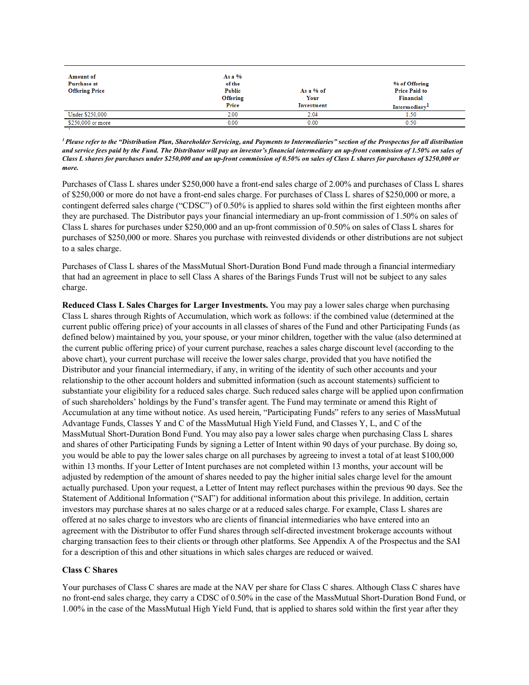| As a $%$<br>of the<br>Public<br>Offering<br>Price | As a % of<br>Your<br>Investment | % of Offering<br><b>Price Paid to</b><br><b>Financial</b><br>Intermediary <sup>1</sup> |
|---------------------------------------------------|---------------------------------|----------------------------------------------------------------------------------------|
| 2.00                                              | 2.04                            | 1.50                                                                                   |
| 0.00                                              | 0.00                            | 0.50                                                                                   |
|                                                   |                                 |                                                                                        |

*1 Please refer to the "Distribution Plan, Shareholder Servicing, and Payments to Intermediaries" section of the Prospectus for all distribution and service fees paid by the Fund. The Distributor will pay an investor's financial intermediary an up-front commission of 1.50% on sales of Class L shares for purchases under \$250,000 and an up-front commission of 0.50% on sales of Class L shares for purchases of \$250,000 or more.*

Purchases of Class L shares under \$250,000 have a front-end sales charge of 2.00% and purchases of Class L shares of \$250,000 or more do not have a front-end sales charge. For purchases of Class L shares of \$250,000 or more, a contingent deferred sales charge ("CDSC") of 0.50% is applied to shares sold within the first eighteen months after they are purchased. The Distributor pays your financial intermediary an up-front commission of 1.50% on sales of Class L shares for purchases under \$250,000 and an up-front commission of 0.50% on sales of Class L shares for purchases of \$250,000 or more. Shares you purchase with reinvested dividends or other distributions are not subject to a sales charge.

Purchases of Class L shares of the MassMutual Short-Duration Bond Fund made through a financial intermediary that had an agreement in place to sell Class A shares of the Barings Funds Trust will not be subject to any sales charge.

**Reduced Class L Sales Charges for Larger Investments.** You may pay a lower sales charge when purchasing Class L shares through Rights of Accumulation, which work as follows: if the combined value (determined at the current public offering price) of your accounts in all classes of shares of the Fund and other Participating Funds (as defined below) maintained by you, your spouse, or your minor children, together with the value (also determined at the current public offering price) of your current purchase, reaches a sales charge discount level (according to the above chart), your current purchase will receive the lower sales charge, provided that you have notified the Distributor and your financial intermediary, if any, in writing of the identity of such other accounts and your relationship to the other account holders and submitted information (such as account statements) sufficient to substantiate your eligibility for a reduced sales charge. Such reduced sales charge will be applied upon confirmation of such shareholders' holdings by the Fund's transfer agent. The Fund may terminate or amend this Right of Accumulation at any time without notice. As used herein, "Participating Funds" refers to any series of MassMutual Advantage Funds, Classes Y and C of the MassMutual High Yield Fund, and Classes Y, L, and C of the MassMutual Short-Duration Bond Fund. You may also pay a lower sales charge when purchasing Class L shares and shares of other Participating Funds by signing a Letter of Intent within 90 days of your purchase. By doing so, you would be able to pay the lower sales charge on all purchases by agreeing to invest a total of at least \$100,000 within 13 months. If your Letter of Intent purchases are not completed within 13 months, your account will be adjusted by redemption of the amount of shares needed to pay the higher initial sales charge level for the amount actually purchased. Upon your request, a Letter of Intent may reflect purchases within the previous 90 days. See the Statement of Additional Information ("SAI") for additional information about this privilege. In addition, certain investors may purchase shares at no sales charge or at a reduced sales charge. For example, Class L shares are offered at no sales charge to investors who are clients of financial intermediaries who have entered into an agreement with the Distributor to offer Fund shares through self-directed investment brokerage accounts without charging transaction fees to their clients or through other platforms. See Appendix A of the Prospectus and the SAI for a description of this and other situations in which sales charges are reduced or waived.

# **Class C Shares**

Your purchases of Class C shares are made at the NAV per share for Class C shares. Although Class C shares have no front-end sales charge, they carry a CDSC of 0.50% in the case of the MassMutual Short-Duration Bond Fund, or 1.00% in the case of the MassMutual High Yield Fund, that is applied to shares sold within the first year after they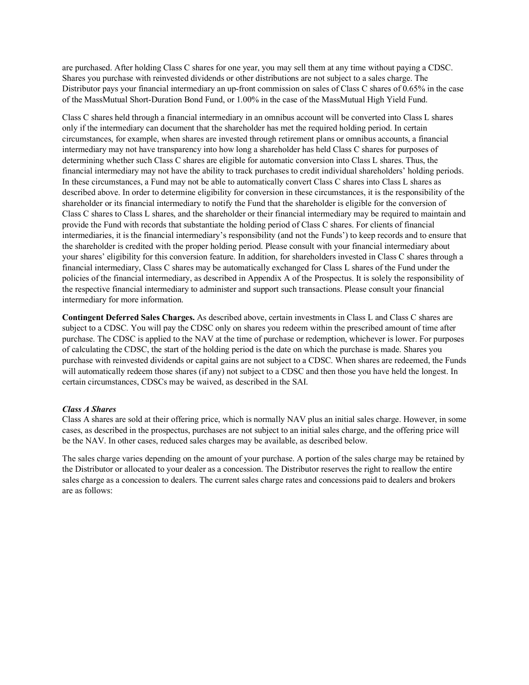are purchased. After holding Class C shares for one year, you may sell them at any time without paying a CDSC. Shares you purchase with reinvested dividends or other distributions are not subject to a sales charge. The Distributor pays your financial intermediary an up-front commission on sales of Class C shares of 0.65% in the case of the MassMutual Short-Duration Bond Fund, or 1.00% in the case of the MassMutual High Yield Fund.

Class C shares held through a financial intermediary in an omnibus account will be converted into Class L shares only if the intermediary can document that the shareholder has met the required holding period. In certain circumstances, for example, when shares are invested through retirement plans or omnibus accounts, a financial intermediary may not have transparency into how long a shareholder has held Class C shares for purposes of determining whether such Class C shares are eligible for automatic conversion into Class L shares. Thus, the financial intermediary may not have the ability to track purchases to credit individual shareholders' holding periods. In these circumstances, a Fund may not be able to automatically convert Class C shares into Class L shares as described above. In order to determine eligibility for conversion in these circumstances, it is the responsibility of the shareholder or its financial intermediary to notify the Fund that the shareholder is eligible for the conversion of Class C shares to Class L shares, and the shareholder or their financial intermediary may be required to maintain and provide the Fund with records that substantiate the holding period of Class C shares. For clients of financial intermediaries, it is the financial intermediary's responsibility (and not the Funds') to keep records and to ensure that the shareholder is credited with the proper holding period. Please consult with your financial intermediary about your shares' eligibility for this conversion feature. In addition, for shareholders invested in Class C shares through a financial intermediary, Class C shares may be automatically exchanged for Class L shares of the Fund under the policies of the financial intermediary, as described in Appendix A of the Prospectus. It is solely the responsibility of the respective financial intermediary to administer and support such transactions. Please consult your financial intermediary for more information.

**Contingent Deferred Sales Charges.** As described above, certain investments in Class L and Class C shares are subject to a CDSC. You will pay the CDSC only on shares you redeem within the prescribed amount of time after purchase. The CDSC is applied to the NAV at the time of purchase or redemption, whichever is lower. For purposes of calculating the CDSC, the start of the holding period is the date on which the purchase is made. Shares you purchase with reinvested dividends or capital gains are not subject to a CDSC. When shares are redeemed, the Funds will automatically redeem those shares (if any) not subject to a CDSC and then those you have held the longest. In certain circumstances, CDSCs may be waived, as described in the SAI.

# *Class A Shares*

Class A shares are sold at their offering price, which is normally NAV plus an initial sales charge. However, in some cases, as described in the prospectus, purchases are not subject to an initial sales charge, and the offering price will be the NAV. In other cases, reduced sales charges may be available, as described below.

The sales charge varies depending on the amount of your purchase. A portion of the sales charge may be retained by the Distributor or allocated to your dealer as a concession. The Distributor reserves the right to reallow the entire sales charge as a concession to dealers. The current sales charge rates and concessions paid to dealers and brokers are as follows: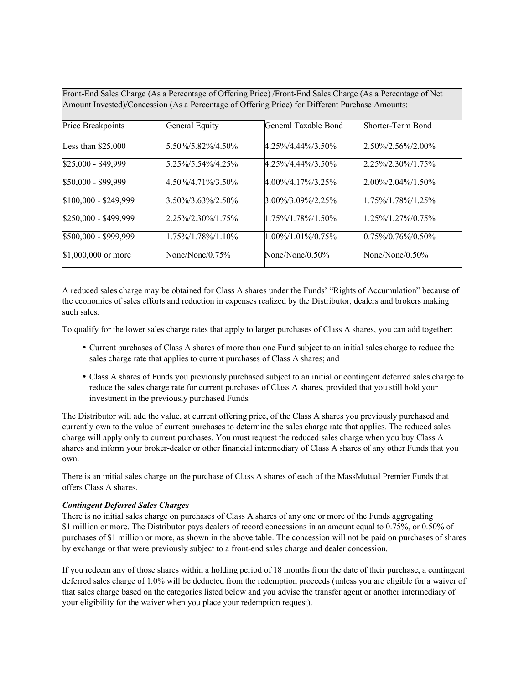Front-End Sales Charge (As a Percentage of Offering Price) /Front-End Sales Charge (As a Percentage of Net Amount Invested)/Concession (As a Percentage of Offering Price) for Different Purchase Amounts:

| Price Breakpoints     | General Equity         | General Taxable Bond   | Shorter-Term Bond      |
|-----------------------|------------------------|------------------------|------------------------|
| Less than $$25,000$   | 5.50%/5.82%/4.50%      | $4.25\%/4.44\%/3.50\%$ | $2.50\%/2.56\%/2.00\%$ |
| \$25,000 - \$49,999   | 5.25%/5.54%/4.25%      | 4.25%/4.44%/3.50%      | $2.25\%/2.30\%/1.75\%$ |
| \$50,000 - \$99,999   | 4.50%/4.71%/3.50%      | $4.00\%/4.17\%/3.25\%$ | $2.00\%/2.04\%/1.50\%$ |
| \$100,000 - \$249,999 | $3.50\%/3.63\%/2.50\%$ | $3.00\%/3.09\%/2.25\%$ | 1.75%/1.78%/1.25%      |
| \$250,000 - \$499,999 | $2.25\%/2.30\%/1.75\%$ | 1.75%/1.78%/1.50%      | 1.25%/1.27%/0.75%      |
| \$500,000 - \$999,999 | 1.75%/1.78%/1.10%      | $1.00\%/1.01\%/0.75\%$ | $0.75\%/0.76\%/0.50\%$ |
| $$1,000,000$ or more  | None/None/0.75%        | None/None/ $0.50\%$    | None/None/0.50%        |

A reduced sales charge may be obtained for Class A shares under the Funds' "Rights of Accumulation" because of the economies of sales efforts and reduction in expenses realized by the Distributor, dealers and brokers making such sales.

To qualify for the lower sales charge rates that apply to larger purchases of Class A shares, you can add together:

- Current purchases of Class A shares of more than one Fund subject to an initial sales charge to reduce the sales charge rate that applies to current purchases of Class A shares; and
- Class A shares of Funds you previously purchased subject to an initial or contingent deferred sales charge to reduce the sales charge rate for current purchases of Class A shares, provided that you still hold your investment in the previously purchased Funds.

The Distributor will add the value, at current offering price, of the Class A shares you previously purchased and currently own to the value of current purchases to determine the sales charge rate that applies. The reduced sales charge will apply only to current purchases. You must request the reduced sales charge when you buy Class A shares and inform your broker-dealer or other financial intermediary of Class A shares of any other Funds that you own.

There is an initial sales charge on the purchase of Class A shares of each of the MassMutual Premier Funds that offers Class A shares.

# *Contingent Deferred Sales Charges*

There is no initial sales charge on purchases of Class A shares of any one or more of the Funds aggregating \$1 million or more. The Distributor pays dealers of record concessions in an amount equal to 0.75%, or 0.50% of purchases of \$1 million or more, as shown in the above table. The concession will not be paid on purchases of shares by exchange or that were previously subject to a front-end sales charge and dealer concession.

If you redeem any of those shares within a holding period of 18 months from the date of their purchase, a contingent deferred sales charge of 1.0% will be deducted from the redemption proceeds (unless you are eligible for a waiver of that sales charge based on the categories listed below and you advise the transfer agent or another intermediary of your eligibility for the waiver when you place your redemption request).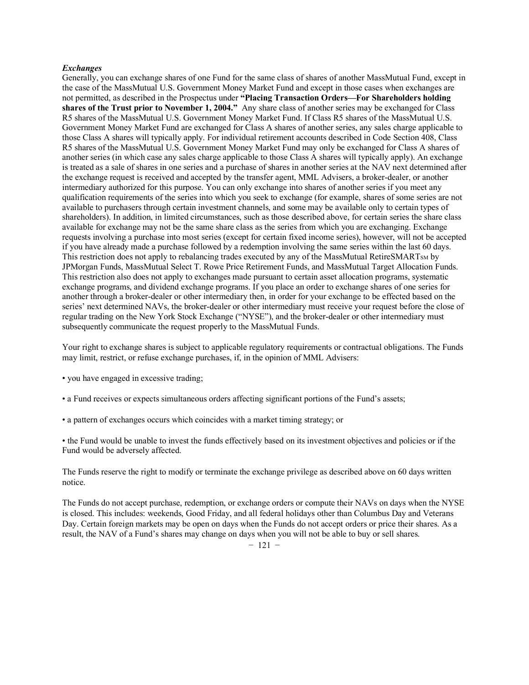#### *Exchanges*

Generally, you can exchange shares of one Fund for the same class of shares of another MassMutual Fund, except in the case of the MassMutual U.S. Government Money Market Fund and except in those cases when exchanges are not permitted, as described in the Prospectus under **"Placing Transaction Orders—For Shareholders holding shares of the Trust prior to November 1, 2004."** Any share class of another series may be exchanged for Class R5 shares of the MassMutual U.S. Government Money Market Fund. If Class R5 shares of the MassMutual U.S. Government Money Market Fund are exchanged for Class A shares of another series, any sales charge applicable to those Class A shares will typically apply. For individual retirement accounts described in Code Section 408, Class R5 shares of the MassMutual U.S. Government Money Market Fund may only be exchanged for Class A shares of another series (in which case any sales charge applicable to those Class A shares will typically apply). An exchange is treated as a sale of shares in one series and a purchase of shares in another series at the NAV next determined after the exchange request is received and accepted by the transfer agent, MML Advisers, a broker-dealer, or another intermediary authorized for this purpose. You can only exchange into shares of another series if you meet any qualification requirements of the series into which you seek to exchange (for example, shares of some series are not available to purchasers through certain investment channels, and some may be available only to certain types of shareholders). In addition, in limited circumstances, such as those described above, for certain series the share class available for exchange may not be the same share class as the series from which you are exchanging. Exchange requests involving a purchase into most series (except for certain fixed income series), however, will not be accepted if you have already made a purchase followed by a redemption involving the same series within the last 60 days. This restriction does not apply to rebalancing trades executed by any of the MassMutual RetireSMARTs<sub>M</sub> by JPMorgan Funds, MassMutual Select T. Rowe Price Retirement Funds, and MassMutual Target Allocation Funds. This restriction also does not apply to exchanges made pursuant to certain asset allocation programs, systematic exchange programs, and dividend exchange programs. If you place an order to exchange shares of one series for another through a broker-dealer or other intermediary then, in order for your exchange to be effected based on the series' next determined NAVs, the broker-dealer or other intermediary must receive your request before the close of regular trading on the New York Stock Exchange ("NYSE"), and the broker-dealer or other intermediary must subsequently communicate the request properly to the MassMutual Funds.

Your right to exchange shares is subject to applicable regulatory requirements or contractual obligations. The Funds may limit, restrict, or refuse exchange purchases, if, in the opinion of MML Advisers:

- you have engaged in excessive trading;
- a Fund receives or expects simultaneous orders affecting significant portions of the Fund's assets;
- a pattern of exchanges occurs which coincides with a market timing strategy; or

• the Fund would be unable to invest the funds effectively based on its investment objectives and policies or if the Fund would be adversely affected.

The Funds reserve the right to modify or terminate the exchange privilege as described above on 60 days written notice.

The Funds do not accept purchase, redemption, or exchange orders or compute their NAVs on days when the NYSE is closed. This includes: weekends, Good Friday, and all federal holidays other than Columbus Day and Veterans Day. Certain foreign markets may be open on days when the Funds do not accept orders or price their shares. As a result, the NAV of a Fund's shares may change on days when you will not be able to buy or sell shares.

 $-121$  –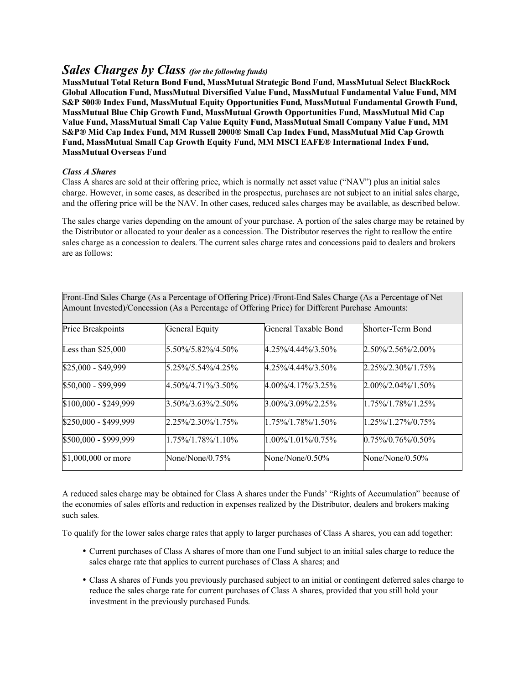# *Sales Charges by Class (for the following funds)*

**MassMutual Total Return Bond Fund, MassMutual Strategic Bond Fund, MassMutual Select BlackRock Global Allocation Fund, MassMutual Diversified Value Fund, MassMutual Fundamental Value Fund, MM S&P 500® Index Fund, MassMutual Equity Opportunities Fund, MassMutual Fundamental Growth Fund, MassMutual Blue Chip Growth Fund, MassMutual Growth Opportunities Fund, MassMutual Mid Cap Value Fund, MassMutual Small Cap Value Equity Fund, MassMutual Small Company Value Fund, MM S&P® Mid Cap Index Fund, MM Russell 2000® Small Cap Index Fund, MassMutual Mid Cap Growth Fund, MassMutual Small Cap Growth Equity Fund, MM MSCI EAFE® International Index Fund, MassMutual Overseas Fund**

# *Class A Shares*

Class A shares are sold at their offering price, which is normally net asset value ("NAV") plus an initial sales charge. However, in some cases, as described in the prospectus, purchases are not subject to an initial sales charge, and the offering price will be the NAV. In other cases, reduced sales charges may be available, as described below.

The sales charge varies depending on the amount of your purchase. A portion of the sales charge may be retained by the Distributor or allocated to your dealer as a concession. The Distributor reserves the right to reallow the entire sales charge as a concession to dealers. The current sales charge rates and concessions paid to dealers and brokers are as follows:

| Price Breakpoints     | General Equity         | General Taxable Bond   | Shorter-Term Bond      |  |
|-----------------------|------------------------|------------------------|------------------------|--|
| Less than $$25,000$   | 5.50%/5.82%/4.50%      | $4.25\%/4.44\%/3.50\%$ | $2.50\%/2.56\%/2.00\%$ |  |
| \$25,000 - \$49,999   | 5.25%/5.54%/4.25%      | $4.25\%/4.44\%/3.50\%$ | 2.25%/2.30%/1.75%      |  |
| \$50,000 - \$99,999   | 4.50%/4.71%/3.50%      | $4.00\%/4.17\%/3.25\%$ | $2.00\%/2.04\%/1.50\%$ |  |
| \$100,000 - \$249,999 | 3.50%/3.63%/2.50%      | $3.00\%/3.09\%/2.25\%$ | 1.75%/1.78%/1.25%      |  |
| \$250,000 - \$499,999 | $2.25\%/2.30\%/1.75\%$ | $1.75\%/1.78\%/1.50\%$ | $1.25\%/1.27\%/0.75\%$ |  |
| \$500,000 - \$999,999 | $1.75\%/1.78\%/1.10\%$ | $1.00\%/1.01\%/0.75\%$ | $0.75\%/0.76\%/0.50\%$ |  |
| $$1,000,000$ or more  | None/None/0.75%        | None/None/0.50%        | None/None/0.50%        |  |

Front-End Sales Charge (As a Percentage of Offering Price) /Front-End Sales Charge (As a Percentage of Net Amount Invested)/Concession (As a Percentage of Offering Price) for Different Purchase Amounts:

A reduced sales charge may be obtained for Class A shares under the Funds' "Rights of Accumulation" because of the economies of sales efforts and reduction in expenses realized by the Distributor, dealers and brokers making such sales.

To qualify for the lower sales charge rates that apply to larger purchases of Class A shares, you can add together:

- Current purchases of Class A shares of more than one Fund subject to an initial sales charge to reduce the sales charge rate that applies to current purchases of Class A shares; and
- Class A shares of Funds you previously purchased subject to an initial or contingent deferred sales charge to reduce the sales charge rate for current purchases of Class A shares, provided that you still hold your investment in the previously purchased Funds.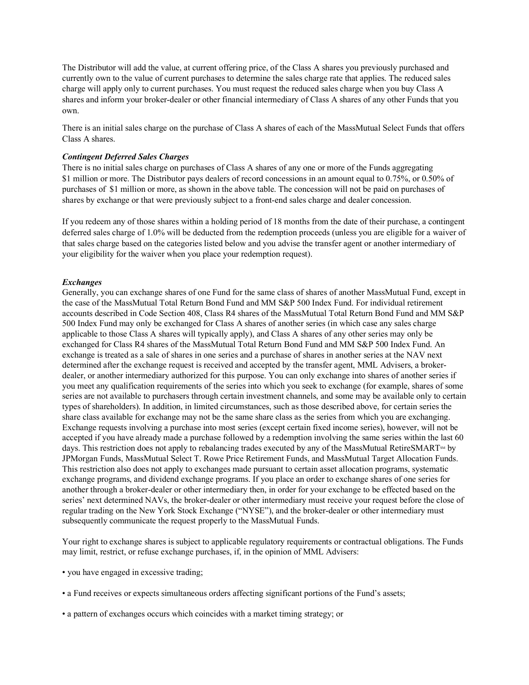The Distributor will add the value, at current offering price, of the Class A shares you previously purchased and currently own to the value of current purchases to determine the sales charge rate that applies. The reduced sales charge will apply only to current purchases. You must request the reduced sales charge when you buy Class A shares and inform your broker-dealer or other financial intermediary of Class A shares of any other Funds that you own.

There is an initial sales charge on the purchase of Class A shares of each of the MassMutual Select Funds that offers Class A shares.

#### *Contingent Deferred Sales Charges*

There is no initial sales charge on purchases of Class A shares of any one or more of the Funds aggregating \$1 million or more. The Distributor pays dealers of record concessions in an amount equal to 0.75%, or 0.50% of purchases of  \$1 million or more, as shown in the above table. The concession will not be paid on purchases of shares by exchange or that were previously subject to a front-end sales charge and dealer concession.

If you redeem any of those shares within a holding period of 18 months from the date of their purchase, a contingent deferred sales charge of 1.0% will be deducted from the redemption proceeds (unless you are eligible for a waiver of that sales charge based on the categories listed below and you advise the transfer agent or another intermediary of your eligibility for the waiver when you place your redemption request).

### *Exchanges*

Generally, you can exchange shares of one Fund for the same class of shares of another MassMutual Fund, except in the case of the MassMutual Total Return Bond Fund and MM S&P 500 Index Fund. For individual retirement accounts described in Code Section 408, Class R4 shares of the MassMutual Total Return Bond Fund and MM S&P 500 Index Fund may only be exchanged for Class A shares of another series (in which case any sales charge applicable to those Class A shares will typically apply), and Class A shares of any other series may only be exchanged for Class R4 shares of the MassMutual Total Return Bond Fund and MM S&P 500 Index Fund. An exchange is treated as a sale of shares in one series and a purchase of shares in another series at the NAV next determined after the exchange request is received and accepted by the transfer agent, MML Advisers, a brokerdealer, or another intermediary authorized for this purpose. You can only exchange into shares of another series if you meet any qualification requirements of the series into which you seek to exchange (for example, shares of some series are not available to purchasers through certain investment channels, and some may be available only to certain types of shareholders). In addition, in limited circumstances, such as those described above, for certain series the share class available for exchange may not be the same share class as the series from which you are exchanging. Exchange requests involving a purchase into most series (except certain fixed income series), however, will not be accepted if you have already made a purchase followed by a redemption involving the same series within the last 60 days. This restriction does not apply to rebalancing trades executed by any of the MassMutual RetireSMART<sup>sM</sup> by JPMorgan Funds, MassMutual Select T. Rowe Price Retirement Funds, and MassMutual Target Allocation Funds. This restriction also does not apply to exchanges made pursuant to certain asset allocation programs, systematic exchange programs, and dividend exchange programs. If you place an order to exchange shares of one series for another through a broker-dealer or other intermediary then, in order for your exchange to be effected based on the series' next determined NAVs, the broker-dealer or other intermediary must receive your request before the close of regular trading on the New York Stock Exchange ("NYSE"), and the broker-dealer or other intermediary must subsequently communicate the request properly to the MassMutual Funds.

Your right to exchange shares is subject to applicable regulatory requirements or contractual obligations. The Funds may limit, restrict, or refuse exchange purchases, if, in the opinion of MML Advisers:

• you have engaged in excessive trading;

• a Fund receives or expects simultaneous orders affecting significant portions of the Fund's assets;

• a pattern of exchanges occurs which coincides with a market timing strategy; or